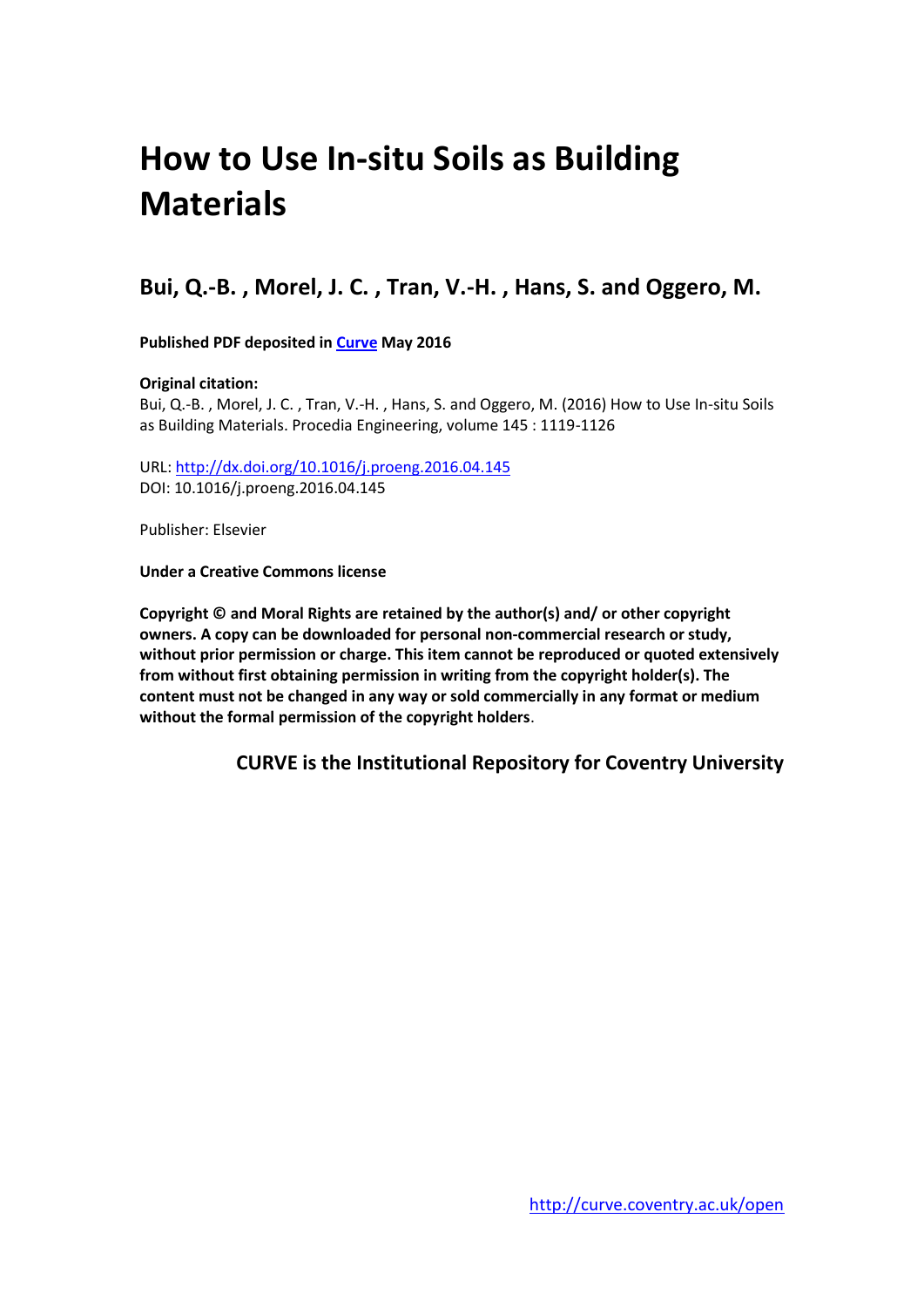# **How to Use In-situ Soils as Building Materials**

## **Bui, Q.-B. , Morel, J. C. , Tran, V.-H. , Hans, S. and Oggero, M.**

**Published PDF deposited in [Curve](http://curve.coventry.ac.uk/open) May 2016**

## **Original citation:**

Bui, Q.-B. , Morel, J. C. , Tran, V.-H. , Hans, S. and Oggero, M. (2016) How to Use In-situ Soils as Building Materials. Procedia Engineering, volume 145 : 1119-1126

URL:<http://dx.doi.org/10.1016/j.proeng.2016.04.145> DOI: 10.1016/j.proeng.2016.04.145

Publisher: Elsevier

**Under a Creative Commons license**

**Copyright © and Moral Rights are retained by the author(s) and/ or other copyright owners. A copy can be downloaded for personal non-commercial research or study, without prior permission or charge. This item cannot be reproduced or quoted extensively from without first obtaining permission in writing from the copyright holder(s). The content must not be changed in any way or sold commercially in any format or medium without the formal permission of the copyright holders**.

**CURVE is the Institutional Repository for Coventry University**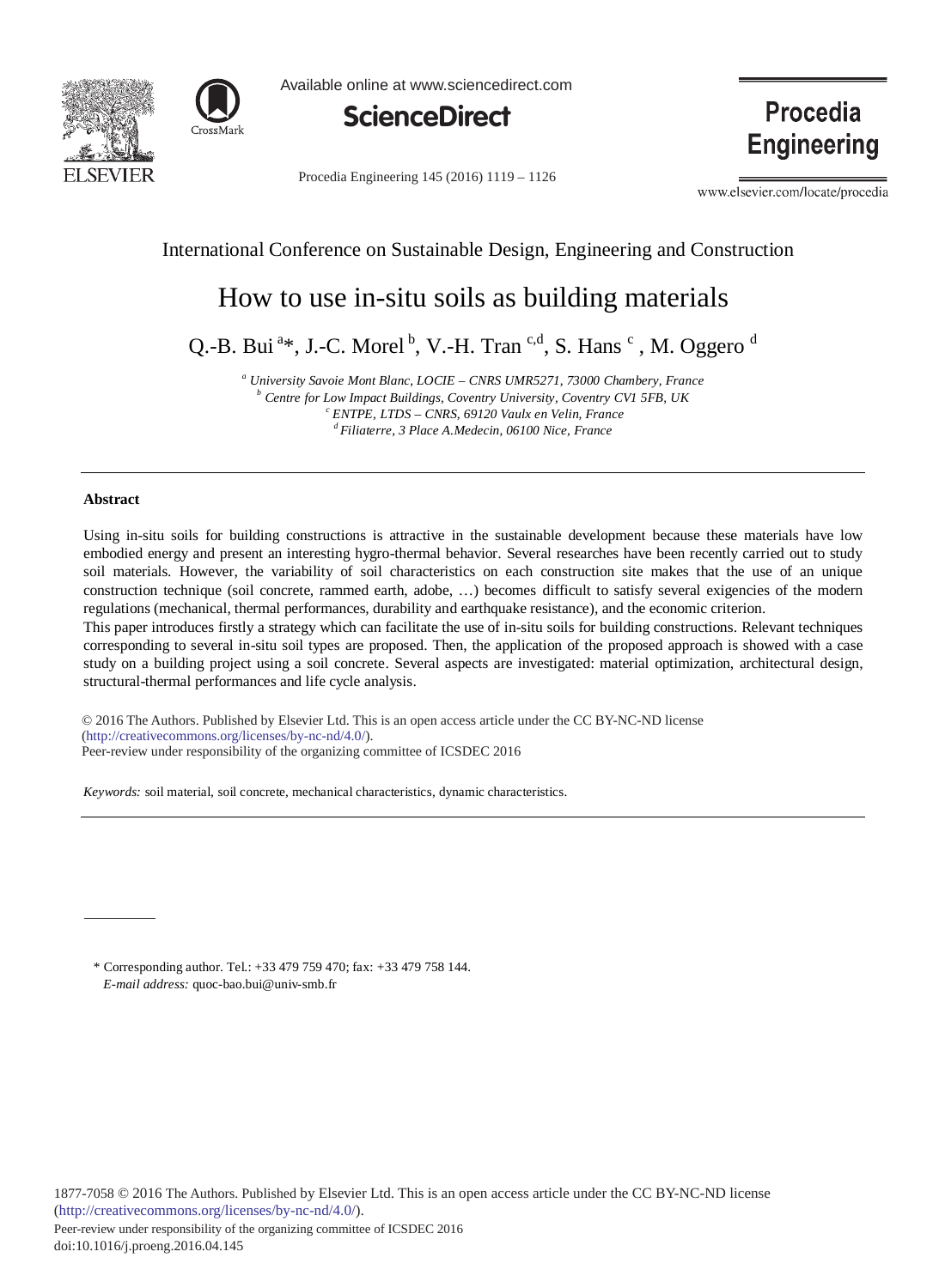



Available online at www.sciencedirect.com



Procedia Engineering 145 (2016) 1119 - 1126

**Procedia Engineering** 

www.elsevier.com/locate/procedia

## International Conference on Sustainable Design, Engineering and Construction

# How to use in-situ soils as building materials

Q.-B. Bui<sup>a\*</sup>, J.-C. Morel<sup>b</sup>, V.-H. Tran<sup>c,d</sup>, S. Hans<sup>c</sup>, M. Oggero<sup>d</sup>

*<sup>a</sup> University Savoie Mont Blanc, LOCIE – CNRS UMR5271, 73000 Chambery, France b Centre for Low Impact Buildings, Coventry University, Coventry CV1 5FB, UK <sup>c</sup> ENTPE, LTDS – CNRS, 69120 Vaulx en Velin, France d Filiaterre, 3 Place A.Medecin, 06100 Nice, France*

#### **Abstract**

Using in-situ soils for building constructions is attractive in the sustainable development because these materials have low embodied energy and present an interesting hygro-thermal behavior. Several researches have been recently carried out to study soil materials. However, the variability of soil characteristics on each construction site makes that the use of an unique construction technique (soil concrete, rammed earth, adobe, …) becomes difficult to satisfy several exigencies of the modern regulations (mechanical, thermal performances, durability and earthquake resistance), and the economic criterion.

This paper introduces firstly a strategy which can facilitate the use of in-situ soils for building constructions. Relevant techniques corresponding to several in-situ soil types are proposed. Then, the application of the proposed approach is showed with a case study on a building project using a soil concrete. Several aspects are investigated: material optimization, architectural design, structural-thermal performances and life cycle analysis.

© 2015 The Authors. Published by Elsevier Ltd. © 2016 The Authors. Published by Elsevier Ltd. This is an open access article under the CC BY-NC-ND license (http://creativecommons.org/licenses/by-nc-nd/4.0/). Peer-review under responsibility of the organizing committee of ICSDEC 2016

*Keywords:* soil material, soil concrete, mechanical characteristics, dynamic characteristics.

\* Corresponding author. Tel.: +33 479 759 470; fax: +33 479 758 144. *E-mail address:* quoc-bao.bui@univ-smb.fr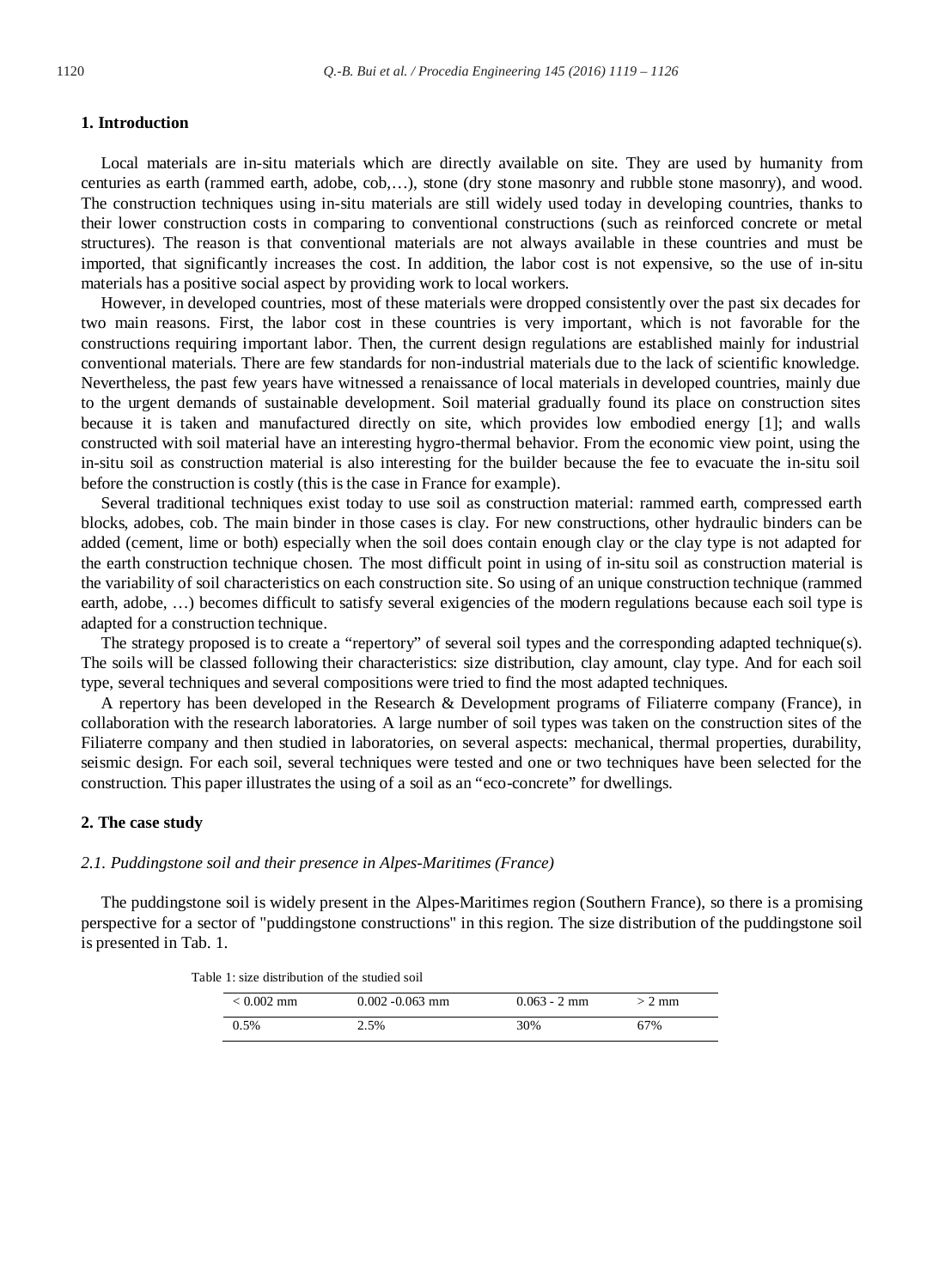#### **1. Introduction**

Local materials are in-situ materials which are directly available on site. They are used by humanity from centuries as earth (rammed earth, adobe, cob,…), stone (dry stone masonry and rubble stone masonry), and wood. The construction techniques using in-situ materials are still widely used today in developing countries, thanks to their lower construction costs in comparing to conventional constructions (such as reinforced concrete or metal structures). The reason is that conventional materials are not always available in these countries and must be imported, that significantly increases the cost. In addition, the labor cost is not expensive, so the use of in-situ materials has a positive social aspect by providing work to local workers.

However, in developed countries, most of these materials were dropped consistently over the past six decades for two main reasons. First, the labor cost in these countries is very important, which is not favorable for the constructions requiring important labor. Then, the current design regulations are established mainly for industrial conventional materials. There are few standards for non-industrial materials due to the lack of scientific knowledge. Nevertheless, the past few years have witnessed a renaissance of local materials in developed countries, mainly due to the urgent demands of sustainable development. Soil material gradually found its place on construction sites because it is taken and manufactured directly on site, which provides low embodied energy [1]; and walls constructed with soil material have an interesting hygro-thermal behavior. From the economic view point, using the in-situ soil as construction material is also interesting for the builder because the fee to evacuate the in-situ soil before the construction is costly (this is the case in France for example).

Several traditional techniques exist today to use soil as construction material: rammed earth, compressed earth blocks, adobes, cob. The main binder in those cases is clay. For new constructions, other hydraulic binders can be added (cement, lime or both) especially when the soil does contain enough clay or the clay type is not adapted for the earth construction technique chosen. The most difficult point in using of in-situ soil as construction material is the variability of soil characteristics on each construction site. So using of an unique construction technique (rammed earth, adobe, …) becomes difficult to satisfy several exigencies of the modern regulations because each soil type is adapted for a construction technique.

The strategy proposed is to create a "repertory" of several soil types and the corresponding adapted technique(s). The soils will be classed following their characteristics: size distribution, clay amount, clay type. And for each soil type, several techniques and several compositions were tried to find the most adapted techniques.

A repertory has been developed in the Research & Development programs of Filiaterre company (France), in collaboration with the research laboratories. A large number of soil types was taken on the construction sites of the Filiaterre company and then studied in laboratories, on several aspects: mechanical, thermal properties, durability, seismic design. For each soil, several techniques were tested and one or two techniques have been selected for the construction. This paper illustrates the using of a soil as an "eco-concrete" for dwellings.

#### **2. The case study**

#### *2.1. Puddingstone soil and their presence in Alpes-Maritimes (France)*

The puddingstone soil is widely present in the Alpes-Maritimes region (Southern France), so there is a promising perspective for a sector of "puddingstone constructions" in this region. The size distribution of the puddingstone soil is presented in Tab. 1.

| Table 1: size distribution of the studied soil |  |  |  |  |  |  |
|------------------------------------------------|--|--|--|--|--|--|
|------------------------------------------------|--|--|--|--|--|--|

| $< 0.002$ mm | $0.002 - 0.063$ mm | $0.063 - 2$ mm | $> 2$ mm |  |  |
|--------------|--------------------|----------------|----------|--|--|
| 0.5%         | 2.5%               | 30%            | 67%      |  |  |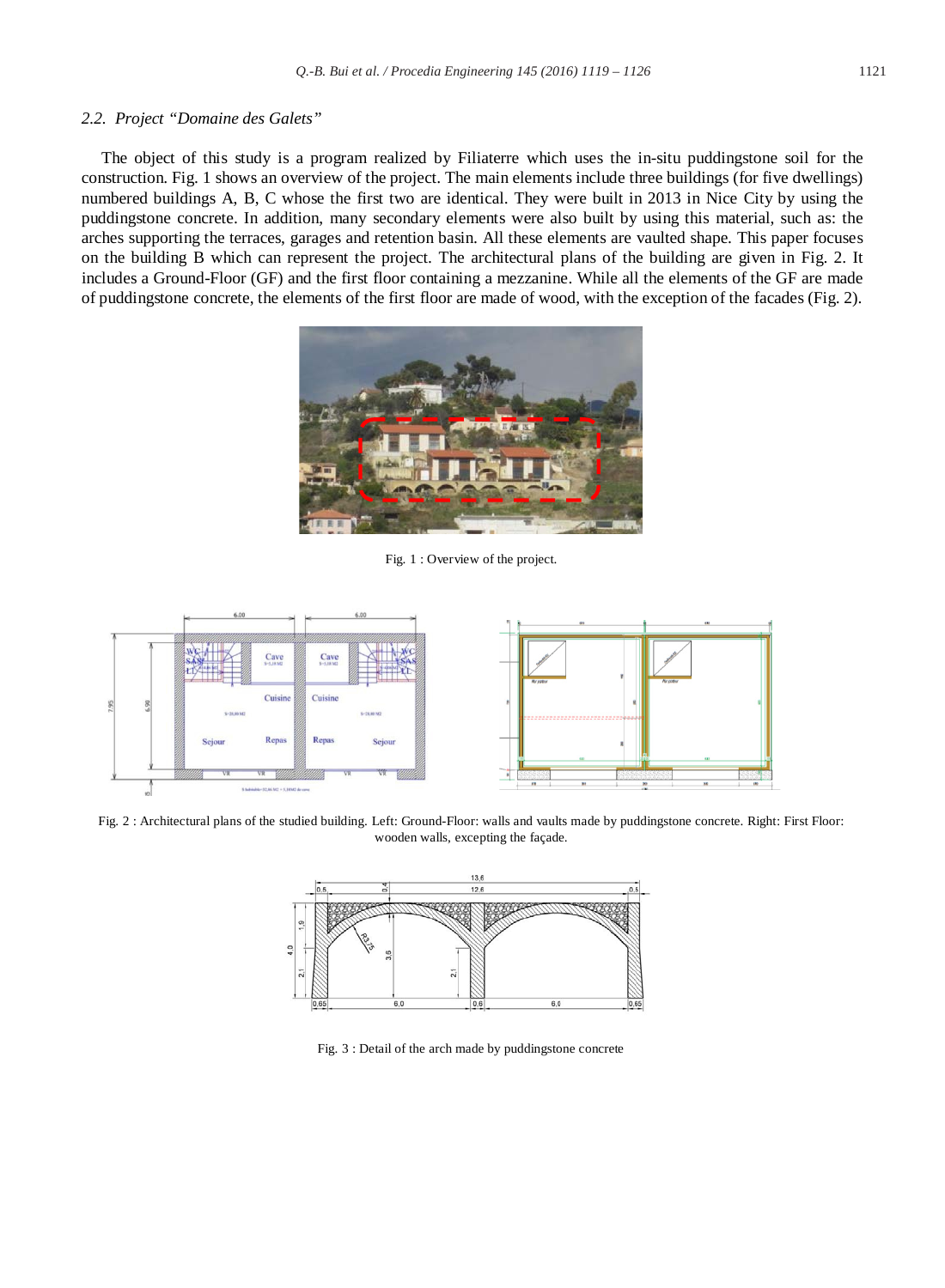#### *2.2. Project "Domaine des Galets"*

The object of this study is a program realized by Filiaterre which uses the in-situ puddingstone soil for the construction. Fig. 1 shows an overview of the project. The main elements include three buildings (for five dwellings) numbered buildings A, B, C whose the first two are identical. They were built in 2013 in Nice City by using the puddingstone concrete. In addition, many secondary elements were also built by using this material, such as: the arches supporting the terraces, garages and retention basin. All these elements are vaulted shape. This paper focuses on the building B which can represent the project. The architectural plans of the building are given in Fig. 2. It includes a Ground-Floor (GF) and the first floor containing a mezzanine. While all the elements of the GF are made of puddingstone concrete, the elements of the first floor are made of wood, with the exception of the facades (Fig. 2).



Fig. 1 : Overview of the project.



Fig. 2 : Architectural plans of the studied building. Left: Ground-Floor: walls and vaults made by puddingstone concrete. Right: First Floor: wooden walls, excepting the façade.



Fig. 3 : Detail of the arch made by puddingstone concrete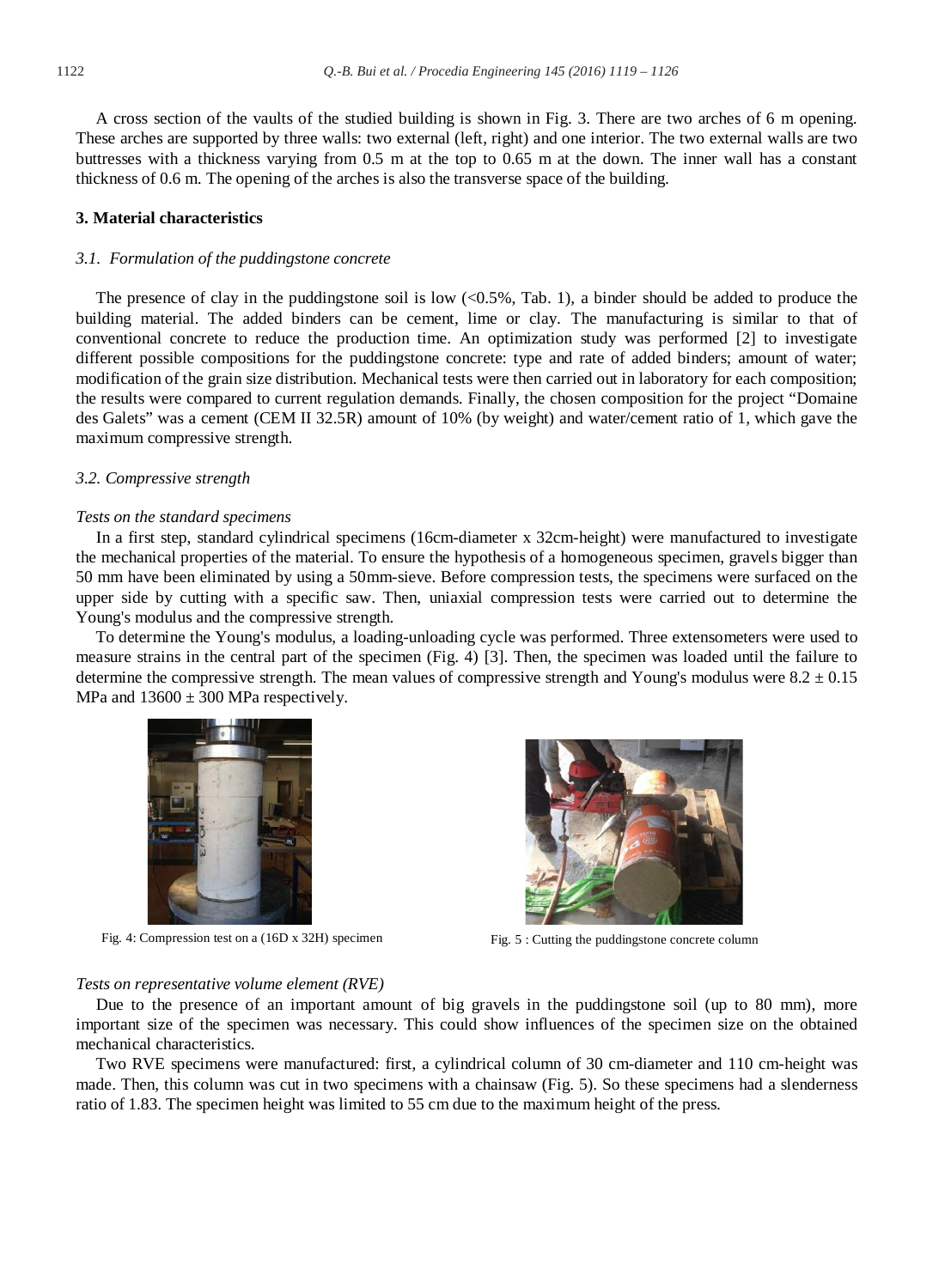A cross section of the vaults of the studied building is shown in Fig. 3. There are two arches of 6 m opening. These arches are supported by three walls: two external (left, right) and one interior. The two external walls are two buttresses with a thickness varying from 0.5 m at the top to 0.65 m at the down. The inner wall has a constant thickness of 0.6 m. The opening of the arches is also the transverse space of the building.

#### **3. Material characteristics**

#### *3.1. Formulation of the puddingstone concrete*

The presence of clay in the puddingstone soil is low  $\langle$ <0.5%, Tab. 1), a binder should be added to produce the building material. The added binders can be cement, lime or clay. The manufacturing is similar to that of conventional concrete to reduce the production time. An optimization study was performed [2] to investigate different possible compositions for the puddingstone concrete: type and rate of added binders; amount of water; modification of the grain size distribution. Mechanical tests were then carried out in laboratory for each composition; the results were compared to current regulation demands. Finally, the chosen composition for the project "Domaine des Galets" was a cement (CEM II 32.5R) amount of 10% (by weight) and water/cement ratio of 1, which gave the maximum compressive strength.

#### *3.2. Compressive strength*

#### *Tests on the standard specimens*

In a first step, standard cylindrical specimens (16cm-diameter x 32cm-height) were manufactured to investigate the mechanical properties of the material. To ensure the hypothesis of a homogeneous specimen, gravels bigger than 50 mm have been eliminated by using a 50mm-sieve. Before compression tests, the specimens were surfaced on the upper side by cutting with a specific saw. Then, uniaxial compression tests were carried out to determine the Young's modulus and the compressive strength.

To determine the Young's modulus, a loading-unloading cycle was performed. Three extensometers were used to measure strains in the central part of the specimen (Fig. 4) [3]. Then, the specimen was loaded until the failure to determine the compressive strength. The mean values of compressive strength and Young's modulus were  $8.2 \pm 0.15$ MPa and  $13600 \pm 300$  MPa respectively.



Fig. 4: Compression test on a (16D x 32H) specimen Fig. 5 : Cutting the puddingstone concrete column



#### *Tests on representative volume element (RVE)*

Due to the presence of an important amount of big gravels in the puddingstone soil (up to 80 mm), more important size of the specimen was necessary. This could show influences of the specimen size on the obtained mechanical characteristics.

Two RVE specimens were manufactured: first, a cylindrical column of 30 cm-diameter and 110 cm-height was made. Then, this column was cut in two specimens with a chainsaw (Fig. 5). So these specimens had a slenderness ratio of 1.83. The specimen height was limited to 55 cm due to the maximum height of the press.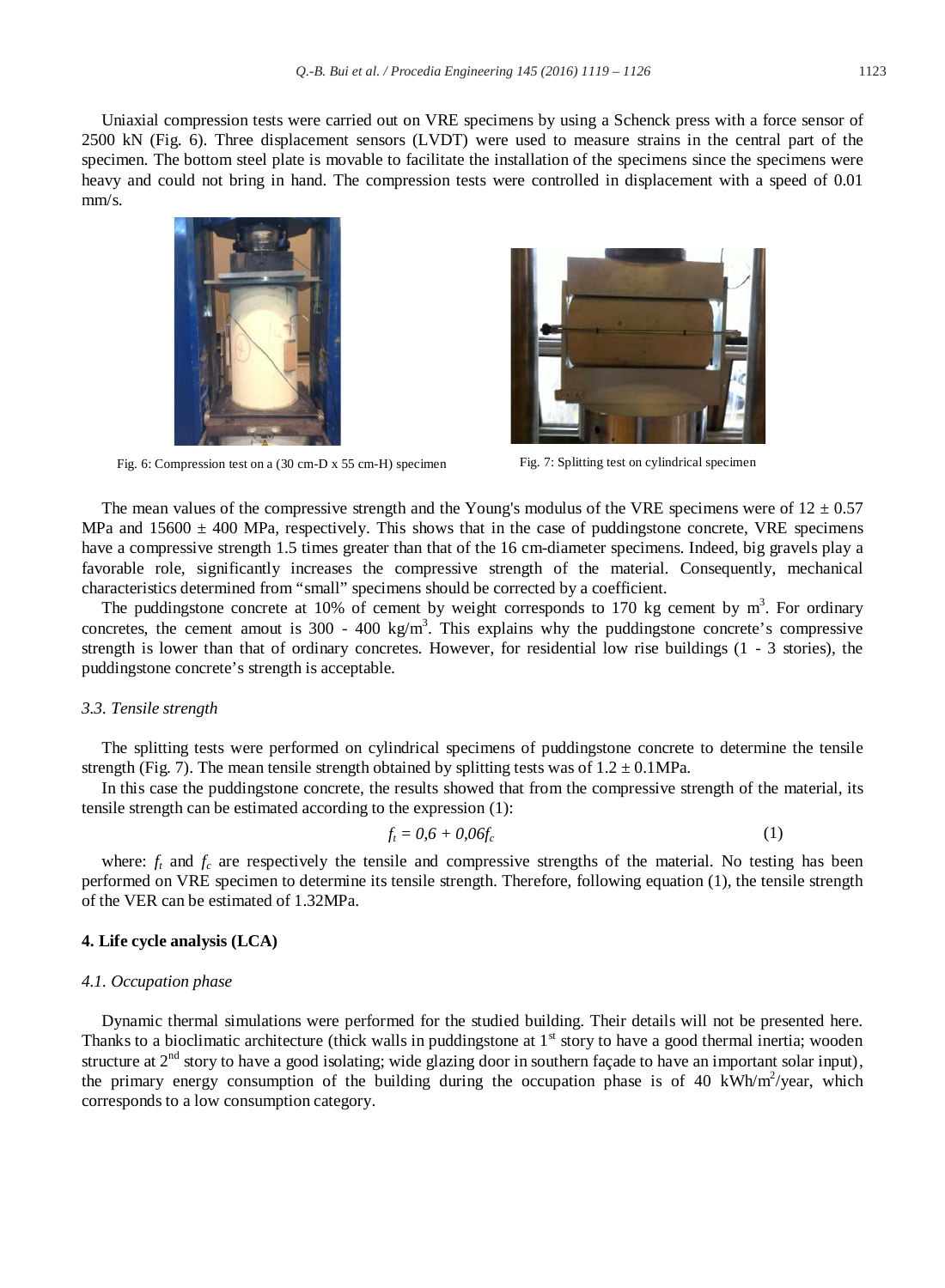Uniaxial compression tests were carried out on VRE specimens by using a Schenck press with a force sensor of 2500 kN (Fig. 6). Three displacement sensors (LVDT) were used to measure strains in the central part of the specimen. The bottom steel plate is movable to facilitate the installation of the specimens since the specimens were heavy and could not bring in hand. The compression tests were controlled in displacement with a speed of 0.01 mm/s.



Fig. 6: Compression test on a (30 cm-D x 55 cm-H) specimen Fig. 7: Splitting test on cylindrical specimen



The mean values of the compressive strength and the Young's modulus of the VRE specimens were of  $12 \pm 0.57$ MPa and  $15600 \pm 400$  MPa, respectively. This shows that in the case of puddingstone concrete, VRE specimens have a compressive strength 1.5 times greater than that of the 16 cm-diameter specimens. Indeed, big gravels play a favorable role, significantly increases the compressive strength of the material. Consequently, mechanical characteristics determined from "small" specimens should be corrected by a coefficient.

The puddingstone concrete at 10% of cement by weight corresponds to 170 kg cement by  $m<sup>3</sup>$ . For ordinary concretes, the cement amout is  $300 - 400 \text{ kg/m}^3$ . This explains why the puddingstone concrete's compressive strength is lower than that of ordinary concretes. However, for residential low rise buildings (1 - 3 stories), the puddingstone concrete's strength is acceptable.

#### *3.3. Tensile strength*

The splitting tests were performed on cylindrical specimens of puddingstone concrete to determine the tensile strength (Fig. 7). The mean tensile strength obtained by splitting tests was of  $1.2 \pm 0.1$  MPa.

In this case the puddingstone concrete, the results showed that from the compressive strength of the material, its tensile strength can be estimated according to the expression (1):

$$
f_t = 0.6 + 0.06f_c \tag{1}
$$

where:  $f_t$  and  $f_c$  are respectively the tensile and compressive strengths of the material. No testing has been performed on VRE specimen to determine its tensile strength. Therefore, following equation (1), the tensile strength of the VER can be estimated of 1.32MPa.

#### **4. Life cycle analysis (LCA)**

#### *4.1. Occupation phase*

Dynamic thermal simulations were performed for the studied building. Their details will not be presented here. Thanks to a bioclimatic architecture (thick walls in puddingstone at  $1<sup>st</sup>$  story to have a good thermal inertia; wooden structure at  $2<sup>nd</sup>$  story to have a good isolating; wide glazing door in southern façade to have an important solar input), the primary energy consumption of the building during the occupation phase is of 40 kWh/m<sup>2</sup>/year, which corresponds to a low consumption category.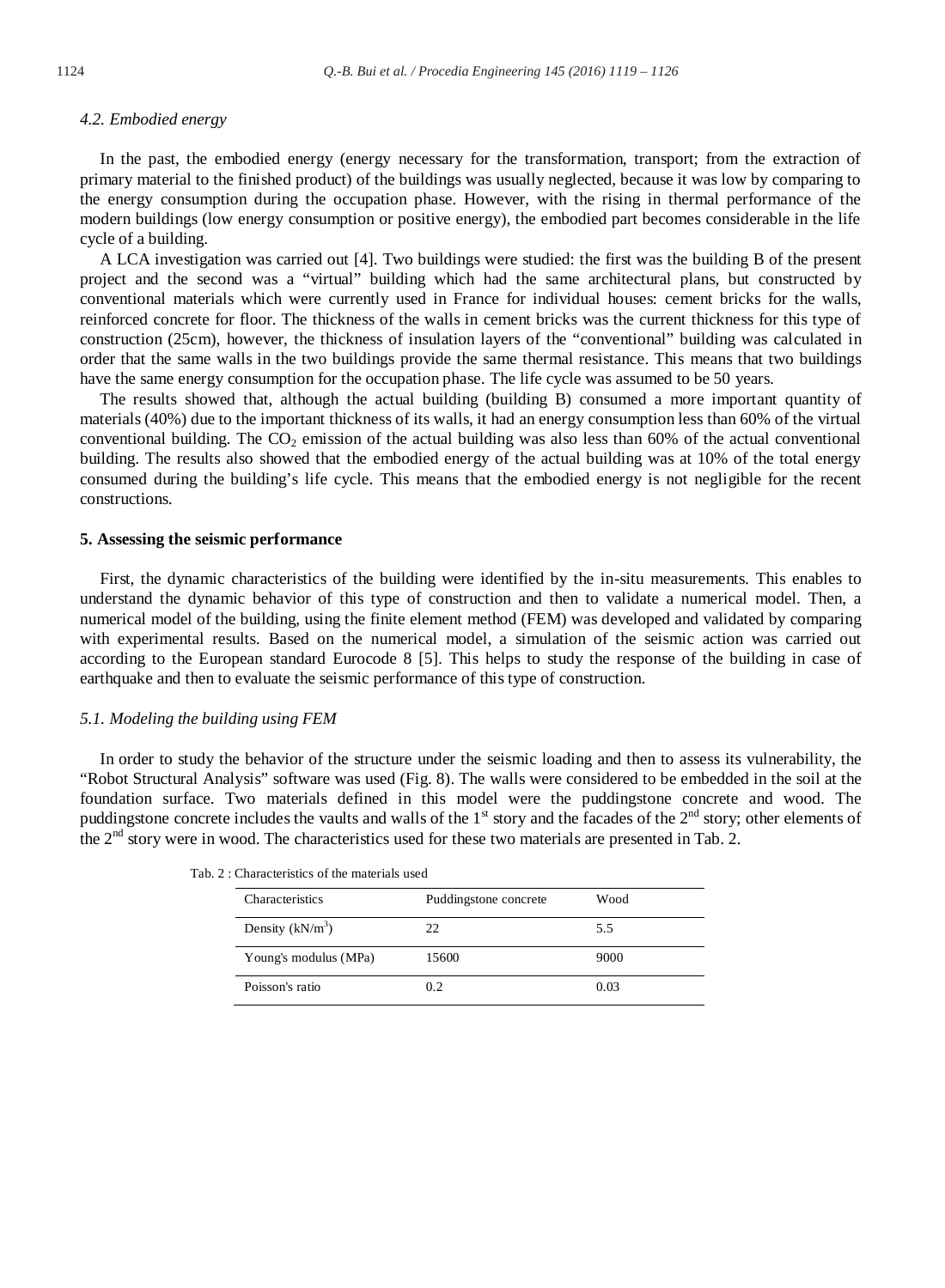## In the past, the embodied energy (energy necessary for the transformation, transport; from the extraction of primary material to the finished product) of the buildings was usually neglected, because it was low by comparing to the energy consumption during the occupation phase. However, with the rising in thermal performance of the modern buildings (low energy consumption or positive energy), the embodied part becomes considerable in the life cycle of a building.

A LCA investigation was carried out [4]. Two buildings were studied: the first was the building B of the present project and the second was a "virtual" building which had the same architectural plans, but constructed by conventional materials which were currently used in France for individual houses: cement bricks for the walls, reinforced concrete for floor. The thickness of the walls in cement bricks was the current thickness for this type of construction (25cm), however, the thickness of insulation layers of the "conventional" building was calculated in order that the same walls in the two buildings provide the same thermal resistance. This means that two buildings have the same energy consumption for the occupation phase. The life cycle was assumed to be 50 years.

The results showed that, although the actual building (building B) consumed a more important quantity of materials (40%) due to the important thickness of its walls, it had an energy consumption less than 60% of the virtual conventional building. The  $CO<sub>2</sub>$  emission of the actual building was also less than 60% of the actual conventional building. The results also showed that the embodied energy of the actual building was at 10% of the total energy consumed during the building's life cycle. This means that the embodied energy is not negligible for the recent constructions.

#### **5. Assessing the seismic performance**

First, the dynamic characteristics of the building were identified by the in-situ measurements. This enables to understand the dynamic behavior of this type of construction and then to validate a numerical model. Then, a numerical model of the building, using the finite element method (FEM) was developed and validated by comparing with experimental results. Based on the numerical model, a simulation of the seismic action was carried out according to the European standard Eurocode 8 [5]. This helps to study the response of the building in case of earthquake and then to evaluate the seismic performance of this type of construction.

### *5.1. Modeling the building using FEM*

In order to study the behavior of the structure under the seismic loading and then to assess its vulnerability, the "Robot Structural Analysis" software was used (Fig. 8). The walls were considered to be embedded in the soil at the foundation surface. Two materials defined in this model were the puddingstone concrete and wood. The puddingstone concrete includes the vaults and walls of the  $1<sup>st</sup>$  story and the facades of the  $2<sup>nd</sup>$  story; other elements of the 2<sup>nd</sup> story were in wood. The characteristics used for these two materials are presented in Tab. 2.

| Characteristics       | Puddingstone concrete | Wood |
|-----------------------|-----------------------|------|
| Density $(kN/m^3)$    | 22                    | 5.5  |
| Young's modulus (MPa) | 15600                 | 9000 |
| Poisson's ratio       | 02                    | 0.03 |

Tab. 2 : Characteristics of the materials used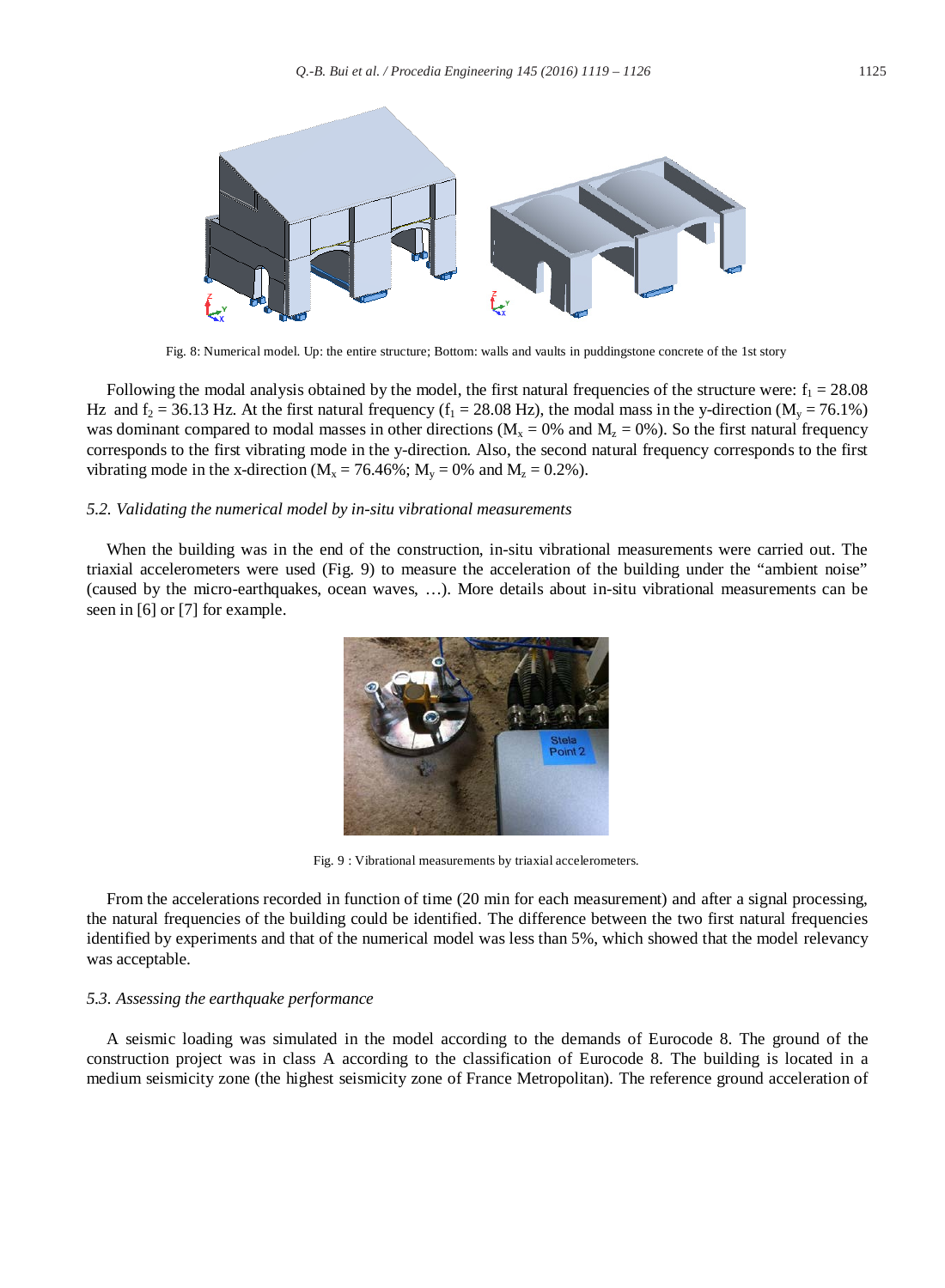

Fig. 8: Numerical model. Up: the entire structure; Bottom: walls and vaults in puddingstone concrete of the 1st story

Following the modal analysis obtained by the model, the first natural frequencies of the structure were:  $f_1 = 28.08$ Hz and  $f_2 = 36.13$  Hz. At the first natural frequency  $(f_1 = 28.08$  Hz), the modal mass in the y-direction  $(M_v = 76.1\%)$ was dominant compared to modal masses in other directions ( $M_x = 0\%$  and  $M_y = 0\%$ ). So the first natural frequency corresponds to the first vibrating mode in the y-direction. Also, the second natural frequency corresponds to the first vibrating mode in the x-direction ( $M_x = 76.46\%$ ;  $M_y = 0\%$  and  $M_z = 0.2\%$ ).

#### *5.2. Validating the numerical model by in-situ vibrational measurements*

When the building was in the end of the construction, in-situ vibrational measurements were carried out. The triaxial accelerometers were used (Fig. 9) to measure the acceleration of the building under the "ambient noise" (caused by the micro-earthquakes, ocean waves, …). More details about in-situ vibrational measurements can be seen in [6] or [7] for example.



Fig. 9 : Vibrational measurements by triaxial accelerometers.

From the accelerations recorded in function of time (20 min for each measurement) and after a signal processing, the natural frequencies of the building could be identified. The difference between the two first natural frequencies identified by experiments and that of the numerical model was less than 5%, which showed that the model relevancy was acceptable.

#### *5.3. Assessing the earthquake performance*

A seismic loading was simulated in the model according to the demands of Eurocode 8. The ground of the construction project was in class A according to the classification of Eurocode 8. The building is located in a medium seismicity zone (the highest seismicity zone of France Metropolitan). The reference ground acceleration of